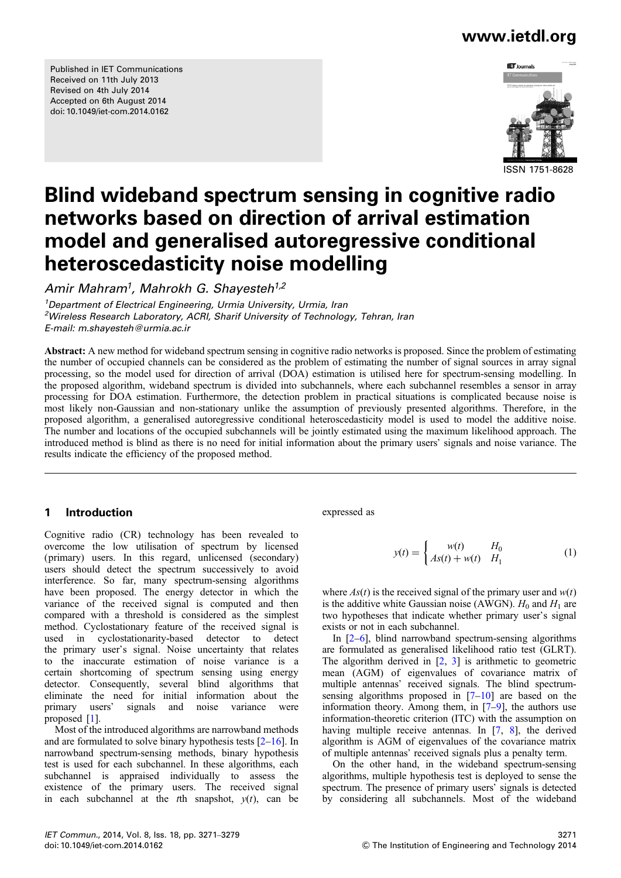Published in IET Communications Received on 11th July 2013 Revised on 4th July 2014 Accepted on 6th August 2014 doi: 10.1049/iet-com.2014.0162



ISSN 1751-8628

# Blind wideband spectrum sensing in cognitive radio networks based on direction of arrival estimation model and generalised autoregressive conditional heteroscedasticity noise modelling

Amir Mahram<sup>1</sup>, Mahrokh G. Shavesteh<sup>1,2</sup>

<sup>1</sup>Department of Electrical Engineering, Urmia University, Urmia, Iran <sup>2</sup>Wireless Research Laboratory, ACRI, Sharif University of Technology, Tehran, Iran E-mail: m.shayesteh@urmia.ac.ir

Abstract: A new method for wideband spectrum sensing in cognitive radio networks is proposed. Since the problem of estimating the number of occupied channels can be considered as the problem of estimating the number of signal sources in array signal processing, so the model used for direction of arrival (DOA) estimation is utilised here for spectrum-sensing modelling. In the proposed algorithm, wideband spectrum is divided into subchannels, where each subchannel resembles a sensor in array processing for DOA estimation. Furthermore, the detection problem in practical situations is complicated because noise is most likely non-Gaussian and non-stationary unlike the assumption of previously presented algorithms. Therefore, in the proposed algorithm, a generalised autoregressive conditional heteroscedasticity model is used to model the additive noise. The number and locations of the occupied subchannels will be jointly estimated using the maximum likelihood approach. The introduced method is blind as there is no need for initial information about the primary users' signals and noise variance. The results indicate the efficiency of the proposed method.

# 1 Introduction

Cognitive radio (CR) technology has been revealed to overcome the low utilisation of spectrum by licensed (primary) users. In this regard, unlicensed (secondary) users should detect the spectrum successively to avoid interference. So far, many spectrum-sensing algorithms have been proposed. The energy detector in which the variance of the received signal is computed and then compared with a threshold is considered as the simplest method. Cyclostationary feature of the received signal is used in cyclostationarity-based detector to detect the primary user's signal. Noise uncertainty that relates to the inaccurate estimation of noise variance is a certain shortcoming of spectrum sensing using energy detector. Consequently, several blind algorithms that eliminate the need for initial information about the primary users' signals and noise variance were proposed [1].

Most of the introduced algorithms are narrowband methods and are formulated to solve binary hypothesis tests  $[2-16]$ . In narrowband spectrum-sensing methods, binary hypothesis test is used for each subchannel. In these algorithms, each subchannel is appraised individually to assess the existence of the primary users. The received signal in each subchannel at the the snapshot,  $y(t)$ , can be

### expressed as

$$
y(t) = \begin{cases} w(t) & H_0 \\ As(t) + w(t) & H_1 \end{cases}
$$
 (1)

where  $As(t)$  is the received signal of the primary user and  $w(t)$ is the additive white Gaussian noise (AWGN).  $H_0$  and  $H_1$  are two hypotheses that indicate whether primary user's signal exists or not in each subchannel.

In [2–6], blind narrowband spectrum-sensing algorithms are formulated as generalised likelihood ratio test (GLRT). The algorithm derived in  $[2, 3]$  is arithmetic to geometric mean (AGM) of eigenvalues of covariance matrix of multiple antennas' received signals. The blind spectrumsensing algorithms proposed in  $[7-10]$  are based on the information theory. Among them, in [7–9], the authors use information-theoretic criterion (ITC) with the assumption on having multiple receive antennas. In [7, 8], the derived algorithm is AGM of eigenvalues of the covariance matrix of multiple antennas' received signals plus a penalty term.

On the other hand, in the wideband spectrum-sensing algorithms, multiple hypothesis test is deployed to sense the spectrum. The presence of primary users' signals is detected by considering all subchannels. Most of the wideband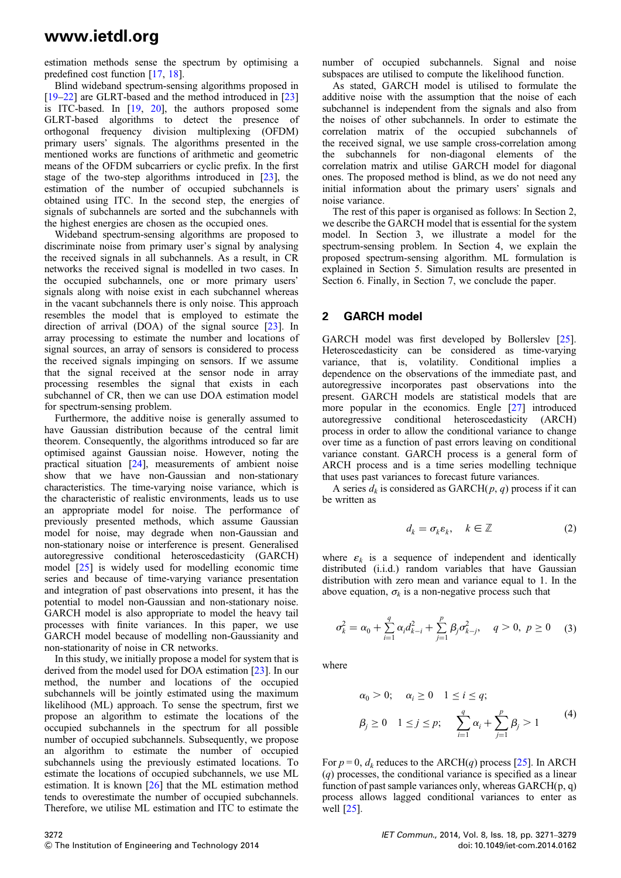estimation methods sense the spectrum by optimising a predefined cost function [17, 18].

Blind wideband spectrum-sensing algorithms proposed in [19–22] are GLRT-based and the method introduced in [23] is ITC-based. In [19, 20], the authors proposed some GLRT-based algorithms to detect the presence of orthogonal frequency division multiplexing (OFDM) primary users' signals. The algorithms presented in the mentioned works are functions of arithmetic and geometric means of the OFDM subcarriers or cyclic prefix. In the first stage of the two-step algorithms introduced in [23], the estimation of the number of occupied subchannels is obtained using ITC. In the second step, the energies of signals of subchannels are sorted and the subchannels with the highest energies are chosen as the occupied ones.

Wideband spectrum-sensing algorithms are proposed to discriminate noise from primary user's signal by analysing the received signals in all subchannels. As a result, in CR networks the received signal is modelled in two cases. In the occupied subchannels, one or more primary users' signals along with noise exist in each subchannel whereas in the vacant subchannels there is only noise. This approach resembles the model that is employed to estimate the direction of arrival (DOA) of the signal source [23]. In array processing to estimate the number and locations of signal sources, an array of sensors is considered to process the received signals impinging on sensors. If we assume that the signal received at the sensor node in array processing resembles the signal that exists in each subchannel of CR, then we can use DOA estimation model for spectrum-sensing problem.

Furthermore, the additive noise is generally assumed to have Gaussian distribution because of the central limit theorem. Consequently, the algorithms introduced so far are optimised against Gaussian noise. However, noting the practical situation [24], measurements of ambient noise show that we have non-Gaussian and non-stationary characteristics. The time-varying noise variance, which is the characteristic of realistic environments, leads us to use an appropriate model for noise. The performance of previously presented methods, which assume Gaussian model for noise, may degrade when non-Gaussian and non-stationary noise or interference is present. Generalised autoregressive conditional heteroscedasticity (GARCH) model [25] is widely used for modelling economic time series and because of time-varying variance presentation and integration of past observations into present, it has the potential to model non-Gaussian and non-stationary noise. GARCH model is also appropriate to model the heavy tail processes with finite variances. In this paper, we use GARCH model because of modelling non-Gaussianity and non-stationarity of noise in CR networks.

In this study, we initially propose a model for system that is derived from the model used for DOA estimation [23]. In our method, the number and locations of the occupied subchannels will be jointly estimated using the maximum likelihood (ML) approach. To sense the spectrum, first we propose an algorithm to estimate the locations of the occupied subchannels in the spectrum for all possible number of occupied subchannels. Subsequently, we propose an algorithm to estimate the number of occupied subchannels using the previously estimated locations. To estimate the locations of occupied subchannels, we use ML estimation. It is known [26] that the ML estimation method tends to overestimate the number of occupied subchannels. Therefore, we utilise ML estimation and ITC to estimate the number of occupied subchannels. Signal and noise subspaces are utilised to compute the likelihood function.

As stated, GARCH model is utilised to formulate the additive noise with the assumption that the noise of each subchannel is independent from the signals and also from the noises of other subchannels. In order to estimate the correlation matrix of the occupied subchannels of the received signal, we use sample cross-correlation among the subchannels for non-diagonal elements of the correlation matrix and utilise GARCH model for diagonal ones. The proposed method is blind, as we do not need any initial information about the primary users' signals and noise variance.

The rest of this paper is organised as follows: In Section 2, we describe the GARCH model that is essential for the system model. In Section 3, we illustrate a model for the spectrum-sensing problem. In Section 4, we explain the proposed spectrum-sensing algorithm. ML formulation is explained in Section 5. Simulation results are presented in Section 6. Finally, in Section 7, we conclude the paper.

### 2 GARCH model

GARCH model was first developed by Bollerslev [25]. Heteroscedasticity can be considered as time-varying variance, that is, volatility. Conditional implies a dependence on the observations of the immediate past, and autoregressive incorporates past observations into the present. GARCH models are statistical models that are more popular in the economics. Engle [27] introduced autoregressive conditional heteroscedasticity (ARCH) process in order to allow the conditional variance to change over time as a function of past errors leaving on conditional variance constant. GARCH process is a general form of ARCH process and is a time series modelling technique that uses past variances to forecast future variances.

A series  $d_k$  is considered as GARCH(p, q) process if it can be written as

$$
d_k = \sigma_k \varepsilon_k, \quad k \in \mathbb{Z} \tag{2}
$$

where  $\varepsilon_k$  is a sequence of independent and identically distributed (i.i.d.) random variables that have Gaussian distribution with zero mean and variance equal to 1. In the above equation,  $\sigma_k$  is a non-negative process such that

$$
\sigma_k^2 = \alpha_0 + \sum_{i=1}^q \alpha_i d_{k-i}^2 + \sum_{j=1}^p \beta_j \sigma_{k-j}^2, \quad q > 0, \ p \ge 0 \quad (3)
$$

where

$$
\alpha_0 > 0;
$$
  $\alpha_i \ge 0$   $1 \le i \le q;$   
\n $\beta_j \ge 0$   $1 \le j \le p;$   $\sum_{i=1}^q \alpha_i + \sum_{j=1}^p \beta_j > 1$  (4)

For  $p = 0$ ,  $d_k$  reduces to the ARCH(q) process [25]. In ARCH  $(q)$  processes, the conditional variance is specified as a linear function of past sample variances only, whereas  $GARCH(p, q)$ process allows lagged conditional variances to enter as well [25].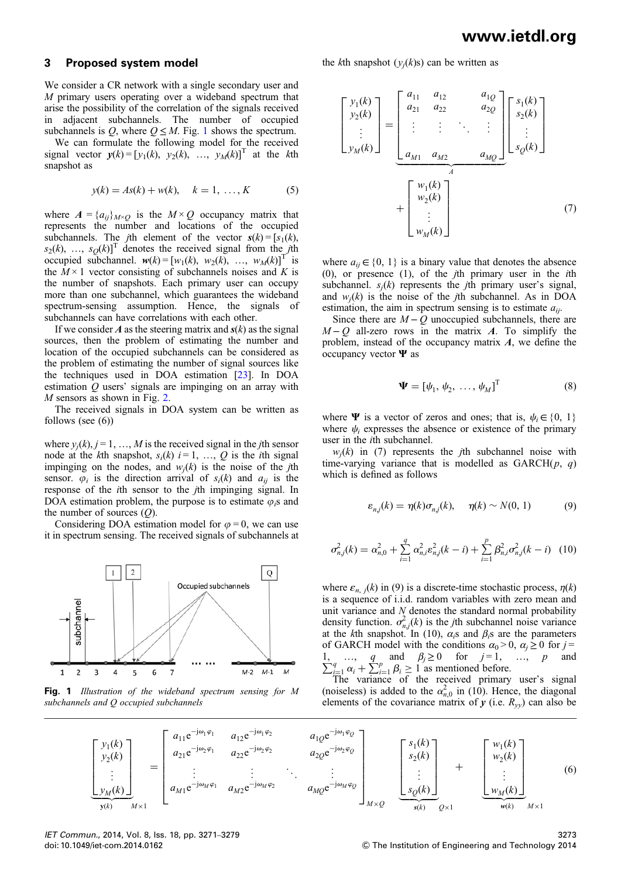### 3 Proposed system model

We consider a CR network with a single secondary user and M primary users operating over a wideband spectrum that arise the possibility of the correlation of the signals received in adjacent subchannels. The number of occupied subchannels is Q, where  $Q \leq M$ . Fig. 1 shows the spectrum.

We can formulate the following model for the received signal vector  $y(k) = [y_1(k), y_2(k), \dots, y_M(k)]^T$  at the kth snapshot as

$$
y(k) = As(k) + w(k), \quad k = 1, ..., K
$$
 (5)

where  $A = \{a_{ij}\}_{M \times Q}$  is the  $M \times Q$  occupancy matrix that represents the number and locations of the occupied subchannels. The *j*th element of the vector  $s(k) = [s_1(k)]$ ,  $s_2(k), \ldots, s_Q(k)$ <sup>T</sup> denotes the received signal from the *j*th occupied subchannel.  $w(k) = [w_1(k), w_2(k), ..., w_M(k)]^T$  is the  $M \times 1$  vector consisting of subchannels noises and K is the number of snapshots. Each primary user can occupy more than one subchannel, which guarantees the wideband spectrum-sensing assumption. Hence, the signals of subchannels can have correlations with each other.

If we consider A as the steering matrix and  $s(k)$  as the signal sources, then the problem of estimating the number and location of the occupied subchannels can be considered as the problem of estimating the number of signal sources like the techniques used in DOA estimation [23]. In DOA estimation  $Q$  users' signals are impinging on an array with  $M$  sensors as shown in Fig. 2.

The received signals in DOA system can be written as follows (see (6))

where  $y_i(k)$ ,  $j = 1, ..., M$  is the received signal in the *j*th sensor node at the kth snapshot,  $s_i(k)$   $i = 1, \ldots, Q$  is the *i*th signal impinging on the nodes, and  $w_i(k)$  is the noise of the *j*th sensor.  $\varphi_i$  is the direction arrival of  $s_i(k)$  and  $a_{ii}$  is the response of the *i*th sensor to the *j*th impinging signal. In DOA estimation problem, the purpose is to estimate  $\varphi_i$ s and the number of sources  $(Q)$ .

Considering DOA estimation model for  $\varphi = 0$ , we can use it in spectrum sensing. The received signals of subchannels at



Fig. 1 Illustration of the wideband spectrum sensing for M subchannels and O occupied subchannels

the kth snapshot  $(y_i(k)s)$  can be written as

$$
\begin{bmatrix} y_1(k) \\ y_2(k) \\ \vdots \\ y_M(k) \end{bmatrix} = \begin{bmatrix} a_{11} & a_{12} & a_{1Q} \\ a_{21} & a_{22} & a_{2Q} \\ \vdots & \vdots & \ddots & \vdots \\ a_{M1} & a_{M2} & a_{MQ} \end{bmatrix} \begin{bmatrix} s_1(k) \\ s_2(k) \\ \vdots \\ s_Q(k) \end{bmatrix}
$$

$$
+ \begin{bmatrix} w_1(k) \\ w_2(k) \\ \vdots \\ w_M(k) \end{bmatrix}
$$
(7)

where  $a_{ii} \in \{0, 1\}$  is a binary value that denotes the absence  $(0)$ , or presence  $(1)$ , of the *j*th primary user in the *i*th subchannel.  $s_i(k)$  represents the *j*th primary user's signal, and  $w_i(k)$  is the noise of the *j*th subchannel. As in DOA estimation, the aim in spectrum sensing is to estimate  $a_{ij}$ .

Since there are  $M - Q$  unoccupied subchannels, there are  $M - Q$  all-zero rows in the matrix A. To simplify the problem, instead of the occupancy matrix  $A$ , we define the occupancy vector Ψ as

$$
\mathbf{\Psi} = [\psi_1, \psi_2, \dots, \psi_M]^{\mathrm{T}}
$$
 (8)

where  $\Psi$  is a vector of zeros and ones; that is,  $\psi_i \in \{0, 1\}$ where  $\psi_i$  expresses the absence or existence of the primary user in the ith subchannel.

 $w_i(k)$  in (7) represents the *j*th subchannel noise with time-varying variance that is modelled as  $GARCH(p, q)$ which is defined as follows

$$
\varepsilon_{n,j}(k) = \eta(k)\sigma_{n,j}(k), \quad \eta(k) \sim N(0, 1) \tag{9}
$$

$$
\sigma_{n,j}^2(k) = \alpha_{n,0}^2 + \sum_{i=1}^q \alpha_{n,i}^2 \varepsilon_{n,j}^2(k-i) + \sum_{i=1}^p \beta_{n,i}^2 \sigma_{n,j}^2(k-i) \quad (10)
$$

where  $\varepsilon_{n,j}(k)$  in (9) is a discrete-time stochastic process,  $n(k)$ is a sequence of i.i.d. random variables with zero mean and unit variance and N denotes the standard normal probability density function.  $\sigma_{n,j}^2(k)$  is the *j*th subchannel noise variance at the kth snapshot. In (10),  $\alpha_i$ s and  $\beta_i$ s are the parameters of GARCH model with the conditions  $\alpha_0 > 0$ ,  $\alpha_i \ge 0$  for  $j =$ 1, ..., q and  $\beta_j \ge 0$  for  $j = 1$ , ..., p and  $\sum_{i=1}^{q} \alpha_i + \sum_{i=1}^{p} \beta_i \ge 1$  as mentioned before.<br>The variance of the received primary user's signal

(noiseless) is added to the  $\alpha_{n,0}^2$  in (10). Hence, the diagonal elements of the covariance matrix of y (i.e.  $R_{yy}$ ) can also be



IET Commun., 2014, Vol. 8, Iss. 18, pp. 3271–3279 doi: 10.1049/iet-com.2014.0162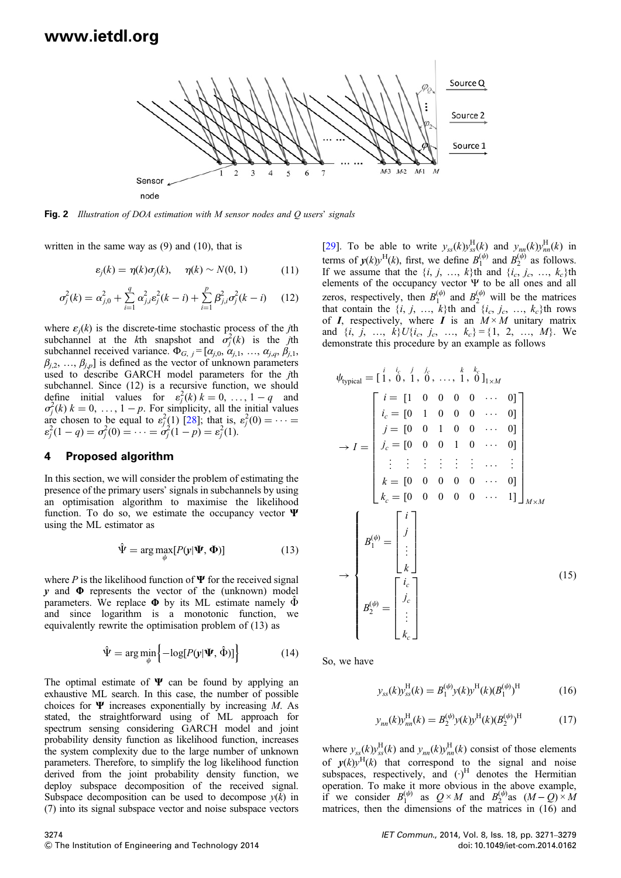

Fig. 2 Illustration of DOA estimation with M sensor nodes and O users' signals

written in the same way as (9) and (10), that is

$$
\varepsilon_j(k) = \eta(k)\sigma_j(k), \quad \eta(k) \sim N(0, 1) \tag{11}
$$

$$
\sigma_j^2(k) = \alpha_{j,0}^2 + \sum_{i=1}^q \alpha_{j,i}^2 \varepsilon_j^2(k-i) + \sum_{i=1}^p \beta_{j,i}^2 \sigma_j^2(k-i) \qquad (12)
$$

where  $\varepsilon_i(k)$  is the discrete-time stochastic process of the *j*th subchannel at the kth snapshot and  $\sigma_j^2(k)$  is the jth subchannel received variance.  $\Phi_{G, j} = [\alpha_{j,0}, \alpha_{j,1}, \dots, \alpha_{j,q}, \beta_{j,1},$  $\beta_{i,2}, \ldots, \beta_{i,p}$  is defined as the vector of unknown parameters used to describe GARCH model parameters for the jth subchannel. Since (12) is a recursive function, we should define initial values for  $\varepsilon_j^2(k)$   $k = 0, \ldots, 1-q$  and  $\sigma_j^2(k)$  k = 0, ..., 1 – p. For simplicity, all the initial values are chosen to be equal to  $\varepsilon_j^2(1)$  [28]; that is,  $\varepsilon_j^2(0) = \cdots = \varepsilon_j^2(1-q) = \sigma_j^2(0) = \cdots = \sigma_j^2(1-p) = \varepsilon_j^2(1)$ .

#### 4 Proposed algorithm

In this section, we will consider the problem of estimating the presence of the primary users' signals in subchannels by using an optimisation algorithm to maximise the likelihood function. To do so, we estimate the occupancy vector  $\Psi$ using the ML estimator as

$$
\hat{\Psi} = \arg \max_{\psi} [P(\mathbf{y}|\Psi, \Phi)] \tag{13}
$$

where P is the likelihood function of  $\Psi$  for the received signal  $\nu$  and  $\Phi$  represents the vector of the (unknown) model parameters. We replace  $\Phi$  by its ML estimate namely  $\hat{\Phi}$ and since logarithm is a monotonic function, we equivalently rewrite the optimisation problem of (13) as

$$
\hat{\Psi} = \arg\min_{\psi} \left\{ -\log[P(\mathbf{y}|\Psi, \hat{\Phi})] \right\} \tag{14}
$$

The optimal estimate of  $\Psi$  can be found by applying an exhaustive ML search. In this case, the number of possible choices for  $\Psi$  increases exponentially by increasing M. As stated, the straightforward using of ML approach for spectrum sensing considering GARCH model and joint probability density function as likelihood function, increases the system complexity due to the large number of unknown parameters. Therefore, to simplify the log likelihood function derived from the joint probability density function, we deploy subspace decomposition of the received signal. Subspace decomposition can be used to decompose  $y(k)$  in (7) into its signal subspace vector and noise subspace vectors

 $\rightarrow$  $B_1^{(\psi)} =$ . . . k  $\Big\}$ ⎥ ⎥ ⎥ ⎥ ⎦  $B_2^{(\psi)} =$  $i_c$  $j_c$ . . .  $\Gamma$  $\vert$ ⎤  $\sqrt{ }$  $\bigcup$ ⎪⎪⎪⎪⎪⎪⎪⎪⎪⎪⎪⎪⎪⎪⎪⎩

 $\rightarrow$  I =

 $\sqrt{ }$ 

So, we have

$$
y_{ss}(k)y_{ss}^{\text{H}}(k) = B_1^{(\psi)} y(k) y^{\text{H}}(k) (B_1^{(\psi)})^{\text{H}}
$$
 (16)

$$
y_{nn}(k)y_{nn}^{\text{H}}(k) = B_2^{(\psi)} y(k) y^{\text{H}}(k) (B_2^{(\psi)})^{\text{H}}
$$
 (17)

where  $y_{ss}(k)y_{ss}^{\text{H}}(k)$  and  $y_{nn}(k)y_{nn}^{\text{H}}(k)$  consist of those elements of  $y(k)y^{H}(k)$  that correspond to the signal and noise subspaces, respectively, and  $(\cdot)^H$  denotes the Hermitian operation. To make it more obvious in the above example, if we consider  $B_1^{(\psi)}$  as  $Q \times M$  and  $B_2^{(\psi)}$  as  $(M-Q) \times M$ matrices, then the dimensions of the matrices in (16) and

[29]. To be able to write  $y_{ss}(k)y_{ss}^{\text{H}}(k)$  and  $y_{nn}(k)y_{nn}^{\text{H}}(k)$  in terms of  $y(k)y^H(k)$ , first, we define  $B_1^{(\psi)}$  and  $B_2^{(\psi)}$  as follows. If we assume that the  $\{i, j, ..., k\}$ th and  $\{i_c, j_c, ..., k_c\}$ th elements of the occupancy vector Ψ to be all ones and all zeros, respectively, then  $B_1^{(\psi)}$  and  $B_2^{(\psi)}$  will be the matrices that contain the  $\{i, j, ..., k\}$ th and  $\{i_c, j_c, ..., k_c\}$ th rows of I, respectively, where I is an  $M \times M$  unitary matrix and  $\{i, j, ..., k\}U\{i_c, j_c, ..., k_c\} = \{1, 2, ..., M\}$ . We demonstrate this procedure by an example as follows

> $[1 \ 0 \ 0 \ 0 \ 0 \ \cdots \ 0]$  $[0 \ 1 \ 0 \ 0 \ 0 \ \cdots \ 0]$  $[0 \ 0 \ 1 \ 0 \ 0 \ \cdots \ 0]$  $[0 \ 0 \ 0 \ 1 \ 0 \ \cdots \ 0]$ . . . . . . . . . . . . . . . ··· . . .  $[0 \ 0 \ 0 \ 0 \ 0 \ \cdots \ 0]$  $[0 \ 0 \ 0 \ 0 \ 0 \ \cdots \ 1]$

⎤

⎥ ⎥ ⎥ ⎥ ⎥ ⎥ ⎥ ⎥ ⎥ ⎥ ⎥ ⎥ ⎦

 $M \times M$ 

(15)

 $\psi_{\text{typical}} = [\begin{array}{cccc} i & i_c & j & j_c & k_c \\ 1 & 0 & 1 & 0 & \ldots & 1 \\ 0 & 0 & 1 & 0 & \ldots & 1 \end{array}]_{1 \times M}$ 

 $i =$  $i_c =$  $j =$  $j_c =$ . . .

 $\Gamma$ 

⎢ ⎢ ⎢ ⎢ ⎢ ⎢ ⎢ ⎢ ⎢ ⎢ ⎢ ⎢ ⎣

 $k =$  $k_c =$ 

> i j

 $k_c$ 

 $\blacksquare$ 

 $\overline{a}$ 

⎤

 $\Gamma$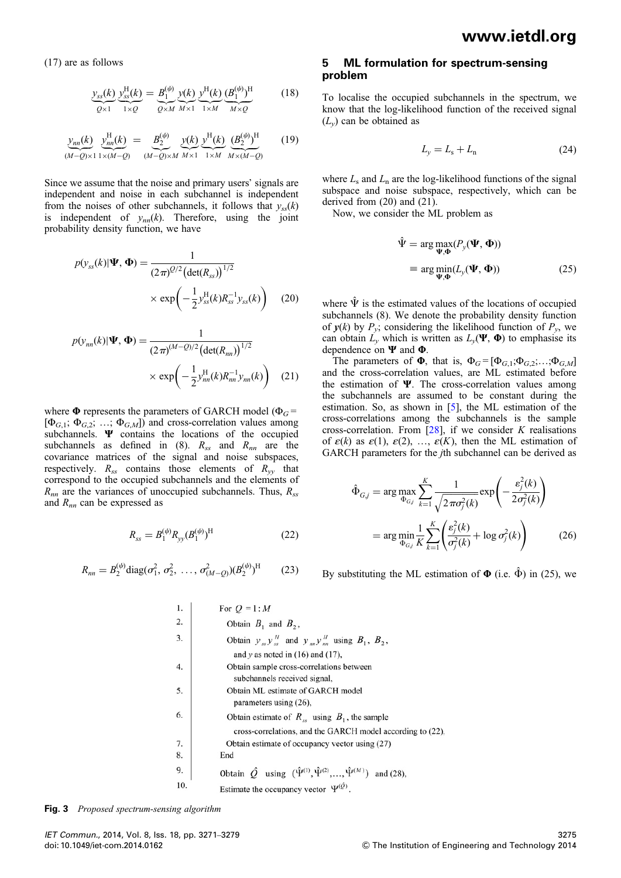(17) are as follows

$$
\underbrace{y_{ss}(k)}_{Q\times 1} \underbrace{y_{ss}^{\text{H}}(k)}_{1\times Q} = \underbrace{B_1^{(\psi)}}_{Q\times M} \underbrace{y(k)}_{M\times 1} \underbrace{y^{\text{H}}(k)}_{1\times M} \underbrace{(B_1^{(\psi)})^{\text{H}}}_{M\times Q} \tag{18}
$$

$$
\underbrace{y_{nn}(k)}_{(M-Q)\times 1} \underbrace{y_{nn}^{\text{H}}(k)}_{1\times (M-Q)} = \underbrace{B_2^{(\psi)}}_{(M-Q)\times M} \underbrace{y(k)}_{M\times 1} \underbrace{y^{\text{H}}(k)}_{1\times M} \underbrace{(B_2^{(\psi)})^{\text{H}}}_{M\times (M-Q)} \tag{19}
$$

Since we assume that the noise and primary users' signals are independent and noise in each subchannel is independent from the noises of other subchannels, it follows that  $y_{ss}(k)$ is independent of  $y_{nn}(k)$ . Therefore, using the joint probability density function, we have

$$
p(y_{ss}(k)|\Psi, \Phi) = \frac{1}{(2\pi)^{Q/2} (\det(R_{ss}))^{1/2}} \times \exp\left(-\frac{1}{2}y_{ss}^{H}(k)R_{ss}^{-1}y_{ss}(k)\right)
$$
 (20)

$$
p(y_{nn}(k)|\Psi, \Phi) = \frac{1}{(2\pi)^{(M-Q)/2} (\det(R_{nn}))^{1/2}}
$$

$$
\times \exp\left(-\frac{1}{2}y_{nn}^{\text{H}}(k)R_{nn}^{-1}y_{nn}(k)\right) \quad (21)
$$

where  $\Phi$  represents the parameters of GARCH model ( $\Phi_G$  =  $[\Phi_{G,1}; \Phi_{G,2}; \ldots; \Phi_{G,M}]$  and cross-correlation values among subchannels. Ψ contains the locations of the occupied subchannels as defined in (8).  $R_{ss}$  and  $R_{nn}$  are the covariance matrices of the signal and noise subspaces, respectively.  $R_{ss}$  contains those elements of  $R_{yy}$  that correspond to the occupied subchannels and the elements of  $R_{nn}$  are the variances of unoccupied subchannels. Thus,  $R_{ss}$ and  $R_{nn}$  can be expressed as

$$
R_{ss} = B_1^{(\psi)} R_{yy} (B_1^{(\psi)})^{\text{H}}
$$
 (22)

$$
R_{nn} = B_2^{(\psi)} \text{diag}(\sigma_1^2, \sigma_2^2, \dots, \sigma_{(M-Q)}^2) (B_2^{(\psi)})^{\text{H}}
$$
 (23)

### 5 ML formulation for spectrum-sensing problem

To localise the occupied subchannels in the spectrum, we know that the log-likelihood function of the received signal  $(L_v)$  can be obtained as

$$
L_{y} = L_{s} + L_{n} \tag{24}
$$

where  $L_s$  and  $L_n$  are the log-likelihood functions of the signal subspace and noise subspace, respectively, which can be derived from (20) and (21).

Now, we consider the ML problem as

$$
\hat{\Psi} = \arg \max_{\Psi, \Phi} (P_y(\Psi, \Phi))
$$
\n
$$
\equiv \arg \min_{\Psi, \Phi} (L_y(\Psi, \Phi))
$$
\n(25)

where  $\hat{\Psi}$  is the estimated values of the locations of occupied subchannels (8). We denote the probability density function of  $y(k)$  by  $P_y$ ; considering the likelihood function of  $P_y$ , we can obtain  $\tilde{L}_y$  which is written as  $L_y(\Psi, \Phi)$  to emphasise its dependence on Ψ and Φ.

The parameters of  $\Phi$ , that is,  $\Phi_G = [\Phi_{G,1}; \Phi_{G,2}; \dots; \Phi_{G,M}]$ and the cross-correlation values, are ML estimated before the estimation of  $\Psi$ . The cross-correlation values among the subchannels are assumed to be constant during the estimation. So, as shown in [5], the ML estimation of the cross-correlations among the subchannels is the sample cross-correlation. From [28], if we consider K realisations of  $\varepsilon(k)$  as  $\varepsilon(1)$ ,  $\varepsilon(2)$ , ...,  $\varepsilon(K)$ , then the ML estimation of GARCH parameters for the jth subchannel can be derived as

$$
\hat{\Phi}_{G_j} = \arg \max_{\Phi_{G_j}} \sum_{k=1}^K \frac{1}{\sqrt{2\pi\sigma_j^2(k)}} \exp\left(-\frac{\varepsilon_j^2(k)}{2\sigma_j^2(k)}\right)
$$
\n
$$
= \arg \min_{\Phi_{G_j}} \frac{1}{K} \sum_{k=1}^K \left(\frac{\varepsilon_j^2(k)}{\sigma_j^2(k)} + \log \sigma_j^2(k)\right) \tag{26}
$$

By substituting the ML estimation of  $\Phi$  (i.e.  $\hat{\Phi}$ ) in (25), we

| 1.  | For $Q = 1:M$                                                                               |
|-----|---------------------------------------------------------------------------------------------|
| 2.  | Obtain $B_1$ and $B_2$ ,                                                                    |
| 3.  | Obtain $y_{ss}y_{ss}^H$ and $y_{nn}y_{nn}^H$ using $B_1$ , $B_2$ ,                          |
|     | and y as noted in $(16)$ and $(17)$ ,                                                       |
| 4.  | Obtain sample cross-correlations between                                                    |
|     | subchannels received signal,                                                                |
| 5.  | Obtain ML estimate of GARCH model                                                           |
|     | parameters using (26),                                                                      |
| 6.  | Obtain estimate of $R_{ss}$ using $B_1$ , the sample                                        |
|     | cross-correlations, and the GARCH model according to (22),                                  |
| 7.  | Obtain estimate of occupancy vector using (27)                                              |
| 8.  | End                                                                                         |
| 9.  | Obtain $\hat{Q}$ using $(\hat{\Psi}^{(1)}, \hat{\Psi}^{(2)}, , \hat{\Psi}^{(M)})$ and (28), |
| 10. | Estimate the occupancy vector $\Psi^{(Q)}$                                                  |

**Fig. 3** Proposed spectrum-sensing algorithm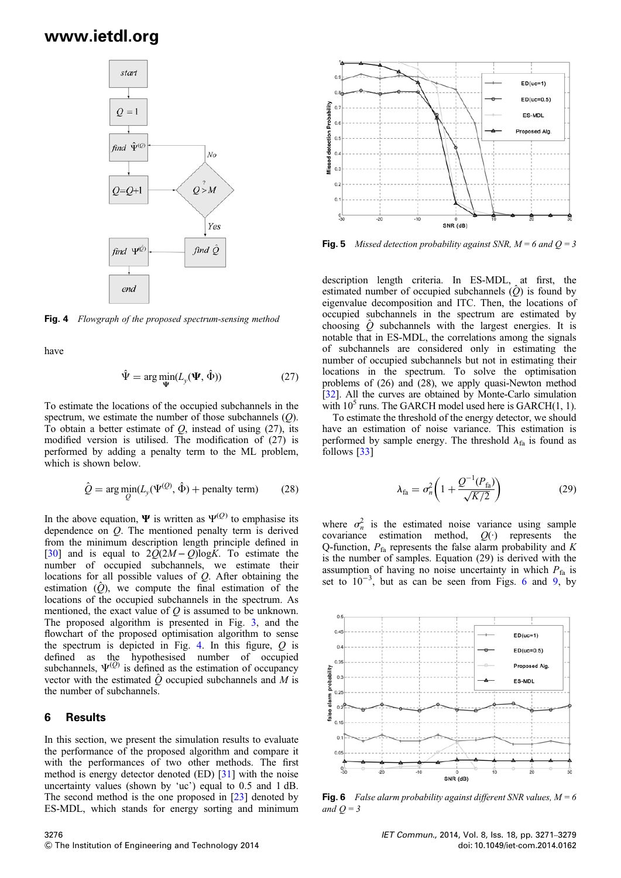

Fig. 4 Flowgraph of the proposed spectrum-sensing method

have

$$
\hat{\Psi} = \arg\min_{\Psi} (L_{y}(\Psi, \hat{\Phi}))
$$
\n(27)

To estimate the locations of the occupied subchannels in the spectrum, we estimate the number of those subchannels  $(O)$ . To obtain a better estimate of  $Q$ , instead of using (27), its modified version is utilised. The modification of (27) is performed by adding a penalty term to the ML problem, which is shown below.

$$
\hat{Q} = \arg\min_{Q} (L_{y}(\Psi^{(Q)}, \hat{\Phi}) + \text{penalty term}) \tag{28}
$$

In the above equation,  $\Psi$  is written as  $\Psi^{(Q)}$  to emphasise its dependence on  $Q$ . The mentioned penalty term is derived from the minimum description length principle defined in [30] and is equal to  $2Q(2M-Q)\log K$ . To estimate the number of occupied subchannels, we estimate their locations for all possible values of Q. After obtaining the estimation  $(\hat{O})$ , we compute the final estimation of the locations of the occupied subchannels in the spectrum. As mentioned, the exact value of  $O$  is assumed to be unknown. The proposed algorithm is presented in Fig. 3, and the flowchart of the proposed optimisation algorithm to sense the spectrum is depicted in Fig. 4. In this figure,  $Q$  is defined as the hypothesised number of occupied subchannels,  $\Psi^{(Q)}$  is defined as the estimation of occupancy vector with the estimated  $\hat{Q}$  occupied subchannels and M is the number of subchannels.

#### 6 Results

In this section, we present the simulation results to evaluate the performance of the proposed algorithm and compare it with the performances of two other methods. The first method is energy detector denoted (ED) [31] with the noise uncertainty values (shown by 'uc') equal to 0.5 and 1 dB. The second method is the one proposed in [23] denoted by ES-MDL, which stands for energy sorting and minimum



**Fig. 5** Missed detection probability against SNR,  $M = 6$  and  $Q = 3$ 

description length criteria. In ES-MDL, at first, the estimated number of occupied subchannels  $(\hat{Q})$  is found by eigenvalue decomposition and ITC. Then, the locations of occupied subchannels in the spectrum are estimated by choosing  $\hat{Q}$  subchannels with the largest energies. It is notable that in ES-MDL, the correlations among the signals of subchannels are considered only in estimating the number of occupied subchannels but not in estimating their locations in the spectrum. To solve the optimisation problems of (26) and (28), we apply quasi-Newton method [32]. All the curves are obtained by Monte-Carlo simulation with  $10^5$  runs. The GARCH model used here is GARCH $(1, 1)$ .

To estimate the threshold of the energy detector, we should have an estimation of noise variance. This estimation is performed by sample energy. The threshold  $\lambda_{fa}$  is found as follows [33]

$$
\lambda_{\rm fa} = \sigma_n^2 \bigg( 1 + \frac{Q^{-1}(P_{\rm fa})}{\sqrt{K/2}} \bigg) \tag{29}
$$

where  $\sigma_n^2$  is the estimated noise variance using sample covariance estimation method,  $Q(\cdot)$  represents the Q-function,  $P_{fa}$  represents the false alarm probability and K is the number of samples. Equation (29) is derived with the assumption of having no noise uncertainty in which  $P_{fa}$  is set to  $10^{-3}$ , but as can be seen from Figs. 6 and 9, by



**Fig. 6** False alarm probability against different SNR values,  $M = 6$ and  $Q = 3$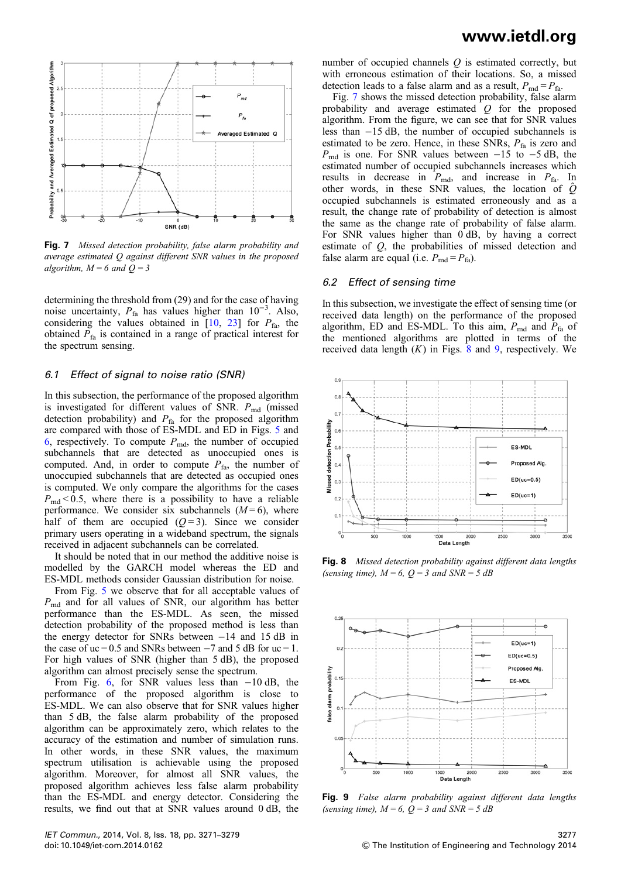

Fig. 7 Missed detection probability, false alarm probability and average estimated Q against different SNR values in the proposed algorithm,  $M = 6$  and  $Q = 3$ 

determining the threshold from (29) and for the case of having noise uncertainty,  $P_{fa}$  has values higher than 10<sup>-3</sup>. Also, considering the values obtained in  $[10, 23]$  for  $P_{\text{fa}}$ , the obtained  $P_{fa}$  is contained in a range of practical interest for the spectrum sensing.

#### 6.1 Effect of signal to noise ratio (SNR)

In this subsection, the performance of the proposed algorithm is investigated for different values of SNR.  $P_{\text{md}}$  (missed detection probability) and  $P_{fa}$  for the proposed algorithm are compared with those of ES-MDL and ED in Figs. 5 and 6, respectively. To compute  $P_{\text{md}}$ , the number of occupied subchannels that are detected as unoccupied ones is computed. And, in order to compute  $P_{fa}$ , the number of unoccupied subchannels that are detected as occupied ones is computed. We only compare the algorithms for the cases  $P_{\text{md}}$  < 0.5, where there is a possibility to have a reliable performance. We consider six subchannels  $(M=6)$ , where half of them are occupied  $(Q=3)$ . Since we consider primary users operating in a wideband spectrum, the signals received in adjacent subchannels can be correlated.

It should be noted that in our method the additive noise is modelled by the GARCH model whereas the ED and ES-MDL methods consider Gaussian distribution for noise.

From Fig. 5 we observe that for all acceptable values of  $P_{\text{md}}$  and for all values of SNR, our algorithm has better performance than the ES-MDL. As seen, the missed detection probability of the proposed method is less than the energy detector for SNRs between −14 and 15 dB in the case of uc = 0.5 and SNRs between  $-7$  and 5 dB for uc = 1. For high values of SNR (higher than 5 dB), the proposed algorithm can almost precisely sense the spectrum.

From Fig. 6, for SNR values less than −10 dB, the performance of the proposed algorithm is close to ES-MDL. We can also observe that for SNR values higher than 5 dB, the false alarm probability of the proposed algorithm can be approximately zero, which relates to the accuracy of the estimation and number of simulation runs. In other words, in these SNR values, the maximum spectrum utilisation is achievable using the proposed algorithm. Moreover, for almost all SNR values, the proposed algorithm achieves less false alarm probability than the ES-MDL and energy detector. Considering the results, we find out that at SNR values around 0 dB, the

# www.ietdl.org

number of occupied channels  $Q$  is estimated correctly, but with erroneous estimation of their locations. So, a missed detection leads to a false alarm and as a result,  $P_{\text{md}} = P_{\text{fa}}$ .

Fig. 7 shows the missed detection probability, false alarm probability and average estimated  $Q$  for the proposed algorithm. From the figure, we can see that for SNR values less than −15 dB, the number of occupied subchannels is estimated to be zero. Hence, in these SNRs,  $P_{fa}$  is zero and  $P_{\text{md}}$  is one. For SNR values between  $-15$  to  $-5$  dB, the estimated number of occupied subchannels increases which results in decrease in  $P_{\text{md}}$ , and increase in  $P_{\text{fa}}$ . In other words, in these SNR values, the location of  $\hat{Q}$ occupied subchannels is estimated erroneously and as a result, the change rate of probability of detection is almost the same as the change rate of probability of false alarm. For SNR values higher than 0 dB, by having a correct estimate of Q, the probabilities of missed detection and false alarm are equal (i.e.  $P_{\text{md}} = P_{\text{fa}}$ ).

#### 6.2 Effect of sensing time

In this subsection, we investigate the effect of sensing time (or received data length) on the performance of the proposed algorithm, ED and ES-MDL. To this aim,  $P_{\text{md}}$  and  $P_{\text{fa}}$  of the mentioned algorithms are plotted in terms of the received data length  $(K)$  in Figs. 8 and 9, respectively. We



Fig. 8 Missed detection probability against different data lengths (sensing time),  $M = 6$ ,  $Q = 3$  and  $SNR = 5$  dB



Fig. 9 False alarm probability against different data lengths (sensing time),  $M = 6$ ,  $Q = 3$  and  $SNR = 5$  dB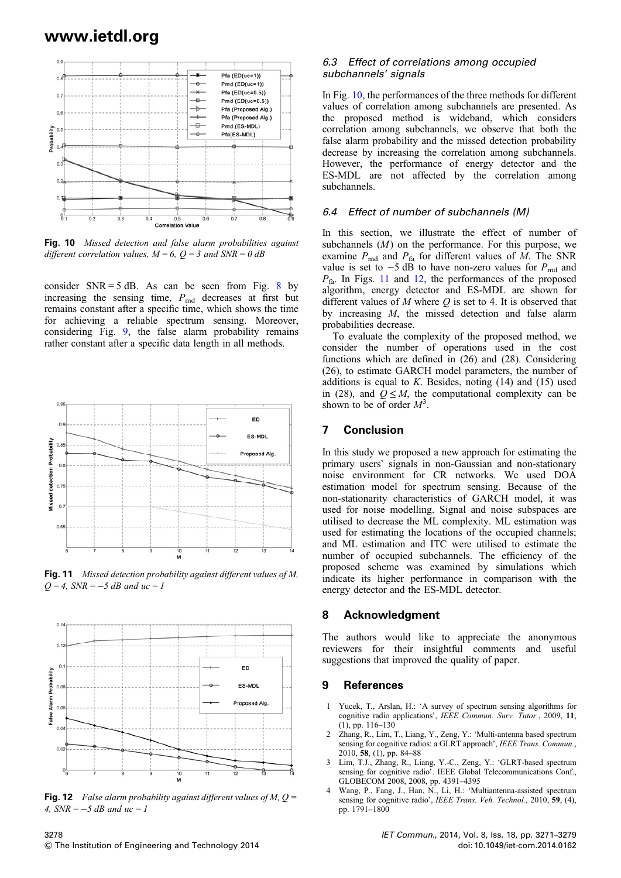

Fig. 10 Missed detection and false alarm probabilities against different correlation values,  $M = 6$ ,  $Q = 3$  and  $SNR = 0$  dB

consider  $SNR = 5$  dB. As can be seen from Fig. 8 by increasing the sensing time,  $P_{\text{md}}$  decreases at first but remains constant after a specific time, which shows the time for achieving a reliable spectrum sensing. Moreover, considering Fig. 9, the false alarm probability remains rather constant after a specific data length in all methods.



Fig. 11 Missed detection probability against different values of M,  $Q = 4$ , SNR = -5 dB and uc = 1



**Fig. 12** False alarm probability against different values of M,  $Q =$ 4,  $SNR = -5$  dB and  $uc = 1$ 

### 6.3 Effect of correlations among occupied subchannels' signals

In Fig. 10, the performances of the three methods for different values of correlation among subchannels are presented. As the proposed method is wideband, which considers correlation among subchannels, we observe that both the false alarm probability and the missed detection probability decrease by increasing the correlation among subchannels. However, the performance of energy detector and the ES-MDL are not affected by the correlation among subchannels.

# 6.4 Effect of number of subchannels (M)

In this section, we illustrate the effect of number of subchannels  $(M)$  on the performance. For this purpose, we examine  $P_{\text{md}}$  and  $P_{\text{fa}}$  for different values of M. The SNR value is set to  $-5$  dB to have non-zero values for  $P_{\text{md}}$  and  $P_{fa}$ . In Figs. 11 and 12, the performances of the proposed algorithm, energy detector and ES-MDL are shown for different values of  $M$  where  $Q$  is set to 4. It is observed that by increasing M, the missed detection and false alarm probabilities decrease.

To evaluate the complexity of the proposed method, we consider the number of operations used in the cost functions which are defined in (26) and (28). Considering (26), to estimate GARCH model parameters, the number of additions is equal to  $K$ . Besides, noting  $(14)$  and  $(15)$  used in (28), and  $Q \leq M$ , the computational complexity can be shown to be of order  $M^3$ .

#### 7 Conclusion

In this study we proposed a new approach for estimating the primary users' signals in non-Gaussian and non-stationary noise environment for CR networks. We used DOA estimation model for spectrum sensing. Because of the non-stationarity characteristics of GARCH model, it was used for noise modelling. Signal and noise subspaces are utilised to decrease the ML complexity. ML estimation was used for estimating the locations of the occupied channels; and ML estimation and ITC were utilised to estimate the number of occupied subchannels. The efficiency of the proposed scheme was examined by simulations which indicate its higher performance in comparison with the energy detector and the ES-MDL detector.

#### 8 Acknowledgment

The authors would like to appreciate the anonymous reviewers for their insightful comments and useful suggestions that improved the quality of paper.

#### 9 References

- 1 Yucek, T., Arslan, H.: 'A survey of spectrum sensing algorithms for cognitive radio applications', IEEE Commun. Surv. Tutor., 2009, 11, (1), pp. 116–130
- 2 Zhang, R., Lim, T., Liang, Y., Zeng, Y.: 'Multi-antenna based spectrum sensing for cognitive radios: a GLRT approach', IEEE Trans. Commun., 2010, 58, (1), pp. 84–88
- 3 Lim, T.J., Zhang, R., Liang, Y.-C., Zeng, Y.: 'GLRT-based spectrum sensing for cognitive radio'. IEEE Global Telecommunications Conf., GLOBECOM 2008, 2008, pp. 4391–4395
- Wang, P., Fang, J., Han, N., Li, H.: 'Multiantenna-assisted spectrum sensing for cognitive radio', IEEE Trans. Veh. Technol., 2010, 59, (4), pp. 1791–1800